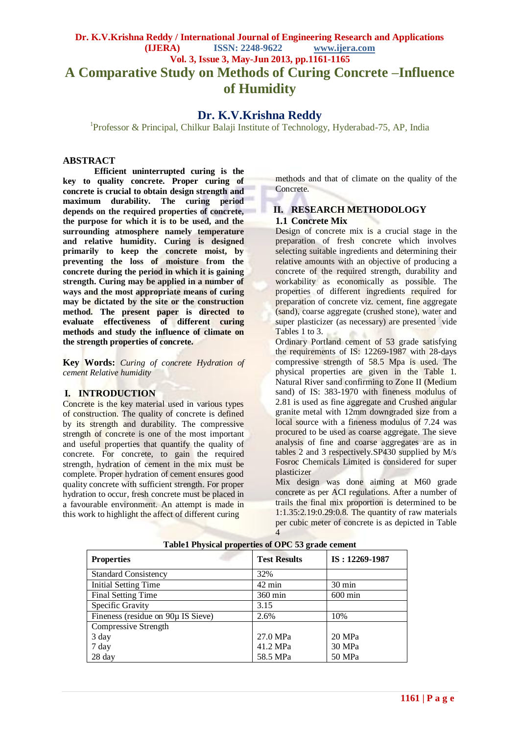# **Dr. K.V.Krishna Reddy / International Journal of Engineering Research and Applications (IJERA) ISSN: 2248-9622 www.ijera.com Vol. 3, Issue 3, May-Jun 2013, pp.1161-1165 A Comparative Study on Methods of Curing Concrete –Influence of Humidity**

# **Dr. K.V.Krishna Reddy**

<sup>1</sup>Professor & Principal, Chilkur Balaji Institute of Technology, Hyderabad-75, AP, India

## **ABSTRACT**

**Efficient uninterrupted curing is the key to quality concrete. Proper curing of concrete is crucial to obtain design strength and maximum durability. The curing period depends on the required properties of concrete, the purpose for which it is to be used, and the surrounding atmosphere namely temperature and relative humidity. Curing is designed primarily to keep the concrete moist, by preventing the loss of moisture from the concrete during the period in which it is gaining strength. Curing may be applied in a number of ways and the most appropriate means of curing may be dictated by the site or the construction method. The present paper is directed to evaluate effectiveness of different curing methods and study the influence of climate on the strength properties of concrete.**

**Key Words:** *Curing of concrete Hydration of cement Relative humidity*

## **I. INTRODUCTION**

Concrete is the key material used in various types of construction. The quality of concrete is defined by its strength and durability. The compressive strength of concrete is one of the most important and useful properties that quantify the quality of concrete. For concrete, to gain the required strength, hydration of cement in the mix must be complete. Proper hydration of cement ensures good quality concrete with sufficient strength. For proper hydration to occur, fresh concrete must be placed in a favourable environment. An attempt is made in this work to highlight the affect of different curing

methods and that of climate on the quality of the Concrete.

# **II. RESEARCH METHODOLOGY 1.1 Concrete Mix**

Design of concrete mix is a crucial stage in the preparation of fresh concrete which involves selecting suitable ingredients and determining their relative amounts with an objective of producing a concrete of the required strength, durability and workability as economically as possible. The properties of different ingredients required for preparation of concrete viz. cement, fine aggregate (sand), coarse aggregate (crushed stone), water and super plasticizer (as necessary) are presented vide Tables 1 to 3.

Ordinary Portland cement of 53 grade satisfying the requirements of IS: 12269-1987 with 28-days compressive strength of 58.5 Mpa is used. The physical properties are given in the Table 1. Natural River sand confirming to Zone II (Medium sand) of IS: 383-1970 with fineness modulus of 2.81 is used as fine aggregate and Crushed angular granite metal with 12mm downgraded size from a local source with a fineness modulus of 7.24 was procured to be used as coarse aggregate. The sieve analysis of fine and coarse aggregates are as in tables 2 and 3 respectively.SP430 supplied by M/s Fosroc Chemicals Limited is considered for super plasticizer

Mix design was done aiming at M60 grade concrete as per ACI regulations. After a number of trails the final mix proportion is determined to be 1:1.35:2.19:0.29:0.8. The quantity of raw materials per cubic meter of concrete is as depicted in Table 4

| <b>Properties</b>                  | <b>Test Results</b> | IS: 12269-1987    |
|------------------------------------|---------------------|-------------------|
| <b>Standard Consistency</b>        | 32%                 |                   |
| <b>Initial Setting Time</b>        | $42 \text{ min}$    | $30 \text{ min}$  |
| Final Setting Time                 | $360 \text{ min}$   | $600 \text{ min}$ |
| Specific Gravity                   | 3.15                |                   |
| Fineness (residue on 90µ IS Sieve) | 2.6%                | 10%               |
| Compressive Strength               |                     |                   |
| 3 day                              | 27.0 MPa            | 20 MPa            |
| 7 day                              | 41.2 MPa            | 30 MPa            |
| 28 day                             | 58.5 MPa            | 50 MPa            |

#### **Table1 Physical properties of OPC 53 grade cement**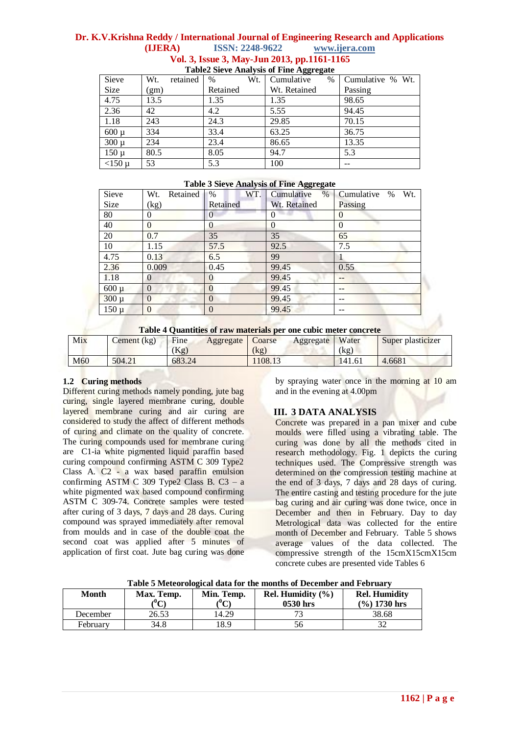# **Dr. K.V.Krishna Reddy / International Journal of Engineering Research and Applications (IJERA) ISSN: 2248-9622 www.ijera.com Vol. 3, Issue 3, May-Jun 2013, pp.1161-1165**

| Sieve     | retained<br>Wt. | Wt.<br>$\%$ | $\sim$<br>Cumulative<br>$\%$ | Cumulative % Wt. |
|-----------|-----------------|-------------|------------------------------|------------------|
| Size      | (gm)            | Retained    | Wt. Retained                 | Passing          |
| 4.75      | 13.5            | 1.35        | 1.35                         | 98.65            |
| 2.36      | 42              | 4.2         | 5.55                         | 94.45            |
| 1.18      | 243             | 24.3        | 29.85                        | 70.15            |
| $600 \mu$ | 334             | 33.4        | 63.25                        | 36.75            |
| $300 \mu$ | 234             | 23.4        | 86.65                        | 13.35            |
| $150 \mu$ | 80.5            | 8.05        | 94.7                         | 5.3              |
| $<$ 150 µ | 53              | 5.3         | 100                          |                  |

# **Table2 Sieve Analysis of Fine Aggregate**

#### **Table 3 Sieve Analysis of Fine Aggregate**

| Sieve     | Retained<br>Wt. | $\%$<br>WT.    | Cumulative<br>$\%$ | Wt.<br>Cumulative<br>$\%$ |
|-----------|-----------------|----------------|--------------------|---------------------------|
| Size      | (kg)            | Retained       | Wt. Retained       | Passing                   |
| 80        | 0               | 0              | 0                  | $\theta$                  |
| 40        | $\theta$        | 0              | $\theta$           | $\Omega$                  |
| 20        | 0.7             | 35             | 35                 | 65                        |
| 10        | 1.15            | 57.5           | 92.5               | 7.5                       |
| 4.75      | 0.13            | 6.5            | 99                 |                           |
| 2.36      | 0.009           | 0.45           | 99.45              | 0.55                      |
| 1.18      | $\Omega$        | $\overline{0}$ | 99.45              |                           |
| $600 \mu$ | $\Omega$        | 0              | 99.45              |                           |
| $300 \mu$ |                 | $\overline{0}$ | 99.45              |                           |
| $150 \mu$ | $\Omega$        | 0              | 99.45              |                           |

#### **Table 4 Quantities of raw materials per one cubic meter concrete**

| Tuble + Quantities of Tu W materials per one cable meter concrete |                                |             |           |         |           |        |                   |
|-------------------------------------------------------------------|--------------------------------|-------------|-----------|---------|-----------|--------|-------------------|
| Mix                                                               | $\mathsf{cement}(\mathsf{kg})$ | <b>Fine</b> | Aggregate | Coarse  | Aggregate | Water  | Super plasticizer |
|                                                                   |                                | (Kg)        |           | (kg)    |           | (kg)   |                   |
| M60                                                               | 504.21                         | 683.24      |           | 1108.13 |           | 141.61 | 4.6681            |

## **1.2 Curing methods**

Different curing methods namely ponding, jute bag curing, single layered membrane curing, double layered membrane curing and air curing are considered to study the affect of different methods of curing and climate on the quality of concrete. The curing compounds used for membrane curing are C1-ia white pigmented liquid paraffin based curing compound confirming ASTM C 309 Type2 Class A. C2 - a wax based paraffin emulsion confirming ASTM C 309 Type2 Class B.  $C3 - a$ white pigmented wax based compound confirming ASTM C 309-74. Concrete samples were tested after curing of 3 days, 7 days and 28 days. Curing compound was sprayed immediately after removal from moulds and in case of the double coat the second coat was applied after 5 minutes of application of first coat. Jute bag curing was done by spraying water once in the morning at 10 am and in the evening at 4.00pm

# **III. 3 DATA ANALYSIS**

Concrete was prepared in a pan mixer and cube moulds were filled using a vibrating table. The curing was done by all the methods cited in research methodology. Fig. 1 depicts the curing techniques used. The Compressive strength was determined on the compression testing machine at the end of 3 days, 7 days and 28 days of curing. The entire casting and testing procedure for the jute bag curing and air curing was done twice, once in December and then in February. Day to day Metrological data was collected for the entire month of December and February. Table 5 shows average values of the data collected. The compressive strength of the 15cmX15cmX15cm concrete cubes are presented vide Tables 6

| Month    | Max. Temp.<br>$\rm ^{(0}C)$ | Min. Temp.<br>$\sim$ | Rel. Humidity $(\% )$<br>0530 hrs | <b>Rel. Humidity</b><br>$(\frac{9}{6})$ 1730 hrs |
|----------|-----------------------------|----------------------|-----------------------------------|--------------------------------------------------|
| December | 26.53                       | 14.29                |                                   | 38.68                                            |
| February | 34.8                        | 18.9                 | 56                                |                                                  |

**Table 5 Meteorological data for the months of December and February**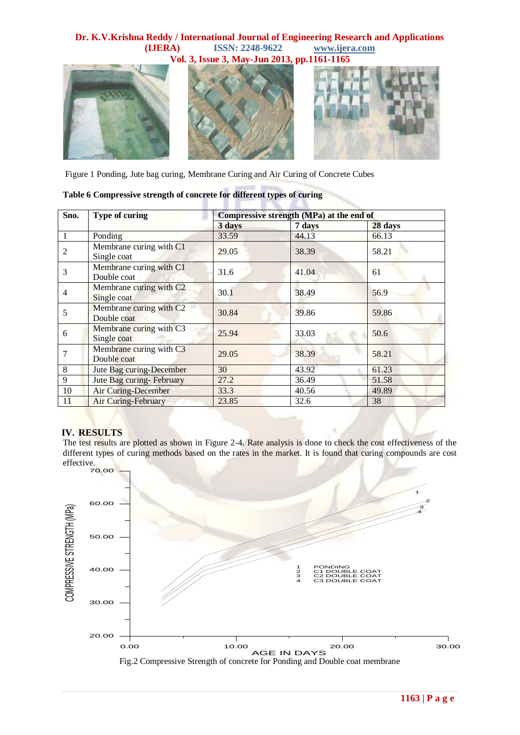# **Dr. K.V.Krishna Reddy / International Journal of Engineering Research and Applications (IJERA) ISSN: 2248-9622 www.ijera.com**



Figure 1 Ponding, Jute bag curing, Membrane Curing and Air Curing of Concrete Cubes

| Sno. | Type of curing                                     | Compressive strength (MPa) at the end of |        |         |  |
|------|----------------------------------------------------|------------------------------------------|--------|---------|--|
|      |                                                    | 3 days                                   | 7 days | 28 days |  |
|      | Ponding                                            | 33.59                                    | 44.13  | 66.13   |  |
| 2    | Membrane curing with C1<br>Single coat             | 29.05                                    | 38.39  | 58.21   |  |
| 3    | Membrane curing with C1<br>Double coat             | 31.6                                     | 41.04  | 61      |  |
| 4    | Membrane curing with C <sub>2</sub><br>Single coat | 30.1                                     | 38.49  | 56.9    |  |
| 5    | Membrane curing with C <sub>2</sub><br>Double coat | 30.84                                    | 39.86  | 59.86   |  |
| 6    | Membrane curing with C3<br>Single coat             | 25.94                                    | 33.03  | 50.6    |  |
|      | Membrane curing with C3<br>Double coat             | 29.05                                    | 38.39  | 58.21   |  |
| 8    | Jute Bag curing-December                           | 30                                       | 43.92  | 61.23   |  |
| 9    | Jute Bag curing-February                           | 27.2                                     | 36.49  | 51.58   |  |
| 10   | <b>Air Curing-December</b>                         | 33.3                                     | 40.56  | 49.89   |  |
| 11   | <b>Air Curing-February</b>                         | 23.85                                    | 32.6   | 38      |  |

## **Table 6 Compressive strength of concrete for different types of curing**

## **IV. RESULTS**

The test results are plotted as shown in Figure 2-4. Rate analysis is done to check the cost effectiveness of the different types of curing methods based on the rates in the market. It is found that curing compounds are cost effective.

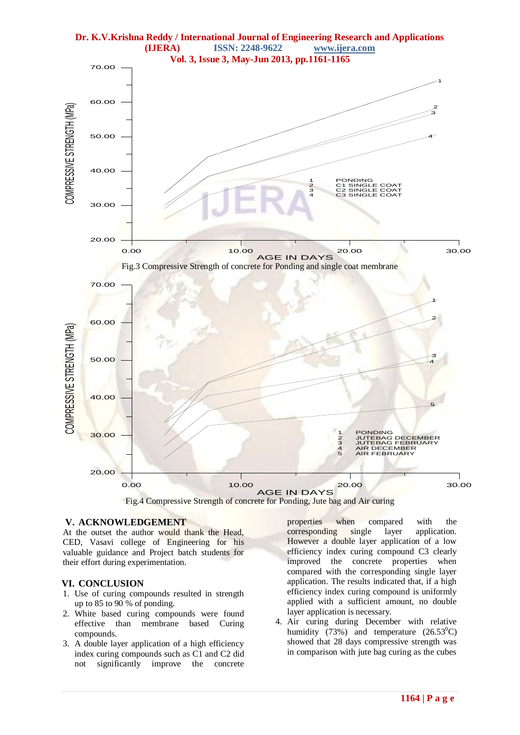



#### **V. ACKNOWLEDGEMENT**

At the outset the author would thank the Head, CED, Vasavi college of Engineering for his valuable guidance and Project batch students for their effort during experimentation.

#### **VI. CONCLUSION**

- 1. Use of curing compounds resulted in strength up to 85 to 90 % of ponding.
- 2. White based curing compounds were found effective than membrane based Curing compounds.
- 3. A double layer application of a high efficiency index curing compounds such as C1 and C2 did not significantly improve the concrete

properties when compared with the corresponding single layer application. However a double layer application of a low efficiency index curing compound C3 clearly improved the concrete properties when compared with the corresponding single layer application. The results indicated that, if a high efficiency index curing compound is uniformly applied with a sufficient amount, no double layer application is necessary.

4. Air curing during December with relative humidity (73%) and temperature  $(26.53^{\circ}C)$ showed that 28 days compressive strength was in comparison with jute bag curing as the cubes